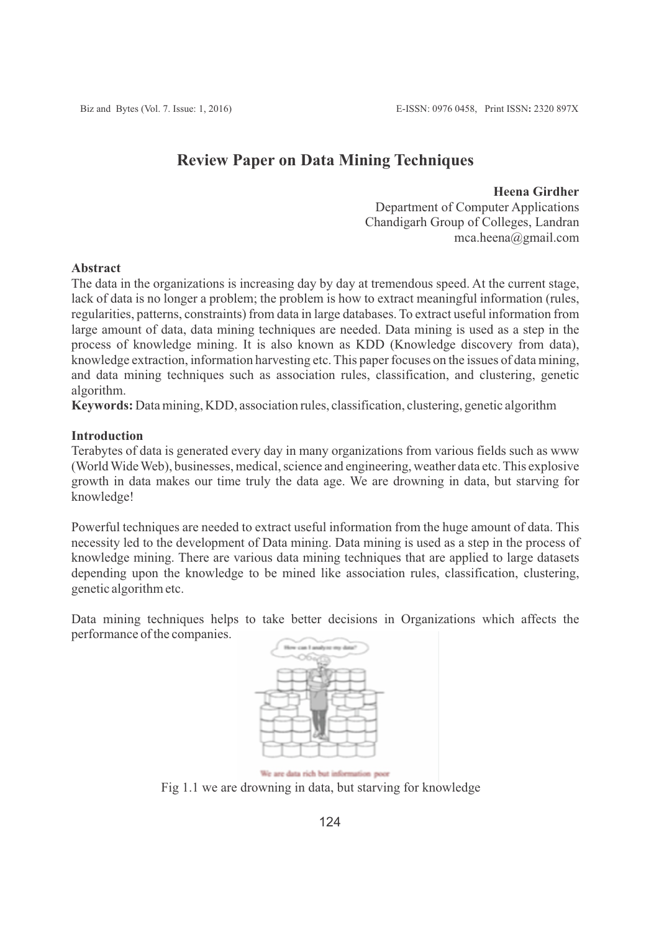# **Review Paper on Data Mining Techniques**

**Heena Girdher**

Department of Computer Applications Chandigarh Group of Colleges, Landran mca.heena@gmail.com

# **Abstract**

The data in the organizations is increasing day by day at tremendous speed. At the current stage, lack of data is no longer a problem; the problem is how to extract meaningful information (rules, regularities, patterns, constraints) from data in large databases. To extract useful information from large amount of data, data mining techniques are needed. Data mining is used as a step in the process of knowledge mining. It is also known as KDD (Knowledge discovery from data), knowledge extraction, information harvesting etc. This paper focuses on the issues of data mining, and data mining techniques such as association rules, classification, and clustering, genetic algorithm.

**Keywords:** Data mining, KDD, association rules, classification, clustering, genetic algorithm

# **Introduction**

Terabytes of data is generated every day in many organizations from various fields such as www (World Wide Web), businesses, medical, science and engineering, weather data etc. This explosive growth in data makes our time truly the data age. We are drowning in data, but starving for knowledge!

Powerful techniques are needed to extract useful information from the huge amount of data. This necessity led to the development of Data mining. Data mining is used as a step in the process of knowledge mining. There are various data mining techniques that are applied to large datasets depending upon the knowledge to be mined like association rules, classification, clustering, genetic algorithm etc.

Data mining techniques helps to take better decisions in Organizations which affects the performance of the companies.



We are data rich but information poor Fig 1.1 we are drowning in data, but starving for knowledge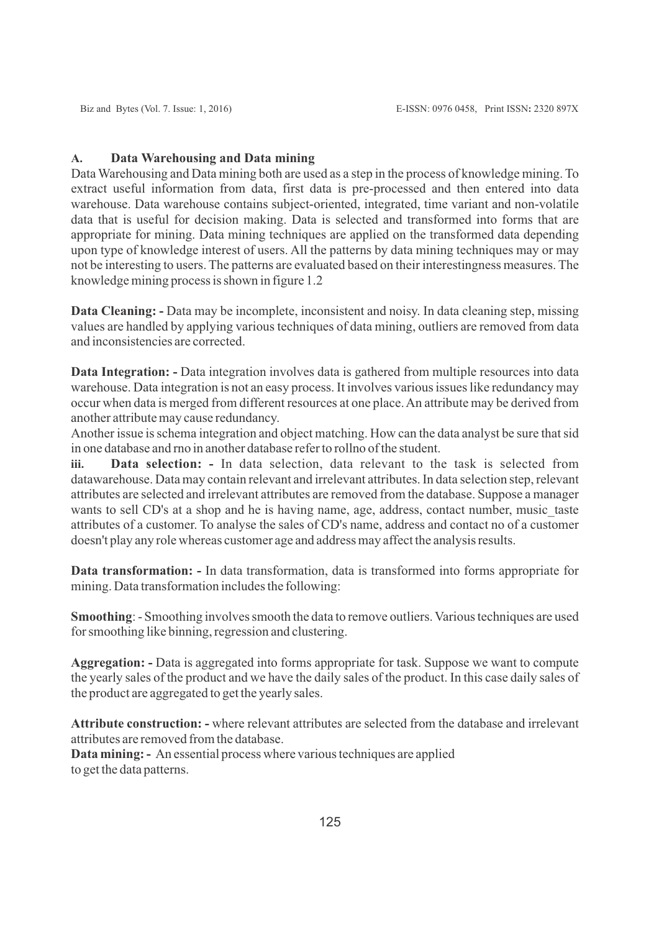# **A. Data Warehousing and Data mining**

Data Warehousing and Data mining both are used as a step in the process of knowledge mining. To extract useful information from data, first data is pre-processed and then entered into data warehouse. Data warehouse contains subject-oriented, integrated, time variant and non-volatile data that is useful for decision making. Data is selected and transformed into forms that are appropriate for mining. Data mining techniques are applied on the transformed data depending upon type of knowledge interest of users. All the patterns by data mining techniques may or may not be interesting to users. The patterns are evaluated based on their interestingness measures. The knowledge mining process is shown in figure 1.2

**Data Cleaning:** - Data may be incomplete, inconsistent and noisy. In data cleaning step, missing values are handled by applying various techniques of data mining, outliers are removed from data and inconsistencies are corrected.

**Data Integration:** - Data integration involves data is gathered from multiple resources into data warehouse. Data integration is not an easy process. It involves various issues like redundancy may occur when data is merged from different resources at one place. An attribute may be derived from another attribute may cause redundancy.

Another issue is schema integration and object matching. How can the data analyst be sure that sid in one database and rno in another database refer to rollno of the student.

**iii. Data selection: -** In data selection, data relevant to the task is selected from datawarehouse. Data may contain relevant and irrelevant attributes. In data selection step, relevant attributes are selected and irrelevant attributes are removed from the database. Suppose a manager wants to sell CD's at a shop and he is having name, age, address, contact number, music taste attributes of a customer. To analyse the sales of CD's name, address and contact no of a customer doesn't play any role whereas customer age and address may affect the analysis results.

**Data transformation: -** In data transformation, data is transformed into forms appropriate for mining. Data transformation includes the following:

**Smoothing**: - Smoothing involves smooth the data to remove outliers. Various techniques are used for smoothing like binning, regression and clustering.

**Aggregation: -** Data is aggregated into forms appropriate for task. Suppose we want to compute the yearly sales of the product and we have the daily sales of the product. In this case daily sales of the product are aggregated to get the yearly sales.

**Attribute construction: -** where relevant attributes are selected from the database and irrelevant attributes are removed from the database.

**Data mining: -** An essential process where various techniques are applied to get the data patterns.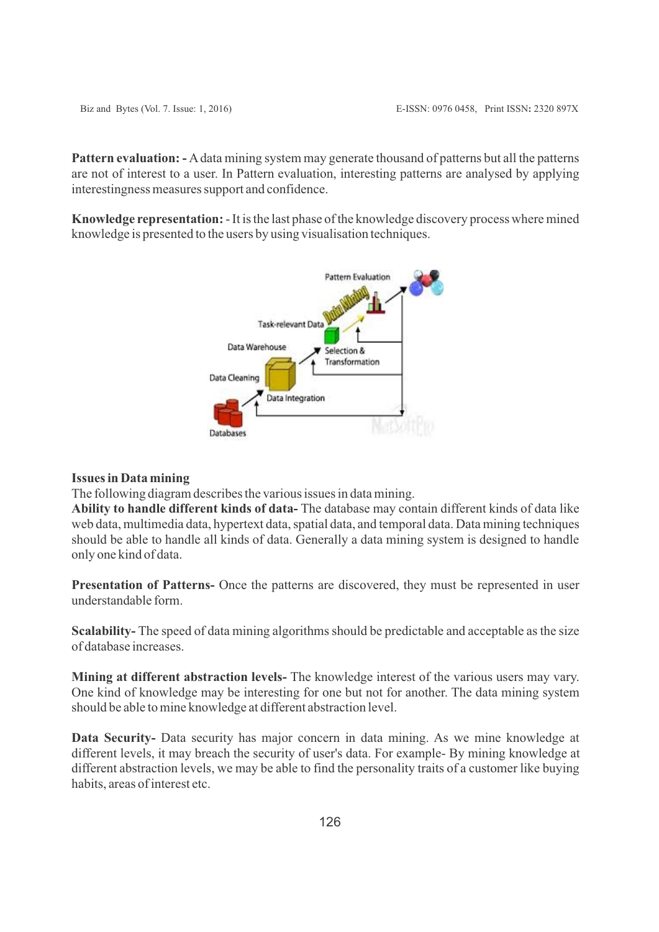Pattern evaluation: - A data mining system may generate thousand of patterns but all the patterns are not of interest to a user. In Pattern evaluation, interesting patterns are analysed by applying interestingness measures support and confidence.

**Knowledge representation:**- It is the last phase of the knowledge discovery process where mined knowledge is presented to the users by using visualisation techniques.



#### **Issues in Data mining**

The following diagram describes the various issues in data mining.

**Ability to handle different kinds of data-** The database may contain different kinds of data like web data, multimedia data, hypertext data, spatial data, and temporal data. Data mining techniques should be able to handle all kinds of data. Generally a data mining system is designed to handle only one kind of data.

**Presentation of Patterns-** Once the patterns are discovered, they must be represented in user understandable form.

**Scalability-** The speed of data mining algorithms should be predictable and acceptable as the size of database increases.

**Mining at different abstraction levels-** The knowledge interest of the various users may vary. One kind of knowledge may be interesting for one but not for another. The data mining system should be able to mine knowledge at different abstraction level.

**Data Security-** Data security has major concern in data mining. As we mine knowledge at different levels, it may breach the security of user's data. For example- By mining knowledge at different abstraction levels, we may be able to find the personality traits of a customer like buying habits, areas of interest etc.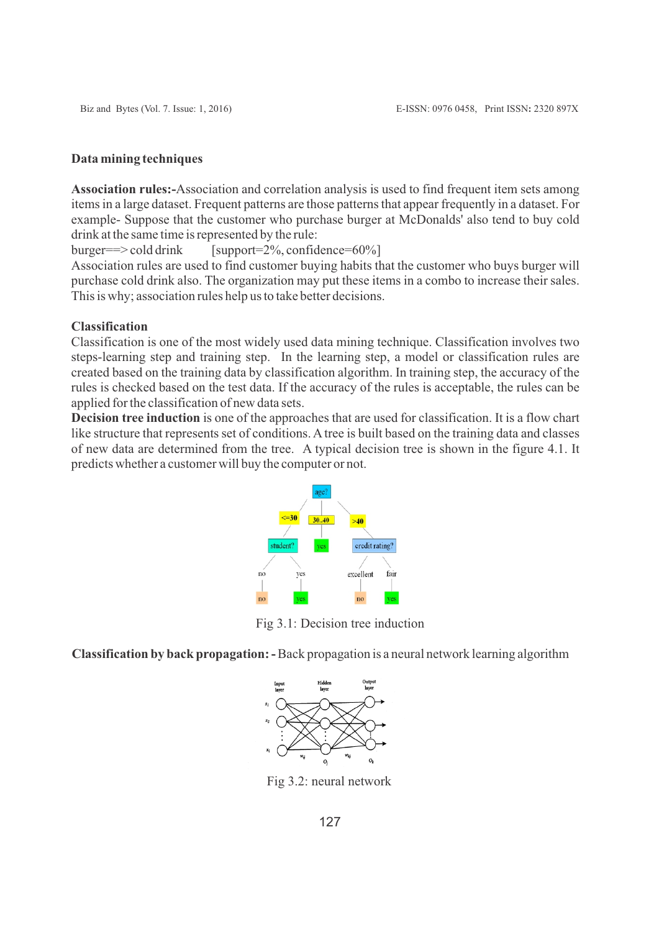### **Data mining techniques**

**Association rules:-**Association and correlation analysis is used to find frequent item sets among items in a large dataset. Frequent patterns are those patterns that appear frequently in a dataset. For example- Suppose that the customer who purchase burger at McDonalds' also tend to buy cold drink at the same time is represented by the rule:

 $burger==\geq cold drink$  [support=2%, confidence=60%]

Association rules are used to find customer buying habits that the customer who buys burger will purchase cold drink also. The organization may put these items in a combo to increase their sales. This is why; association rules help us to take better decisions.

# **Classification**

Classification is one of the most widely used data mining technique. Classification involves two steps-learning step and training step. In the learning step, a model or classification rules are created based on the training data by classification algorithm. In training step, the accuracy of the rules is checked based on the test data. If the accuracy of the rules is acceptable, the rules can be applied for the classification of new data sets.

**Decision tree induction** is one of the approaches that are used for classification. It is a flow chart like structure that represents set of conditions. Atree is built based on the training data and classes of new data are determined from the tree. A typical decision tree is shown in the figure 4.1. It predicts whether a customer will buy the computer or not.



Fig 3.1: Decision tree induction

**Classification by back propagation: -**Back propagation is a neural network learning algorithm



Fig 3.2: neural network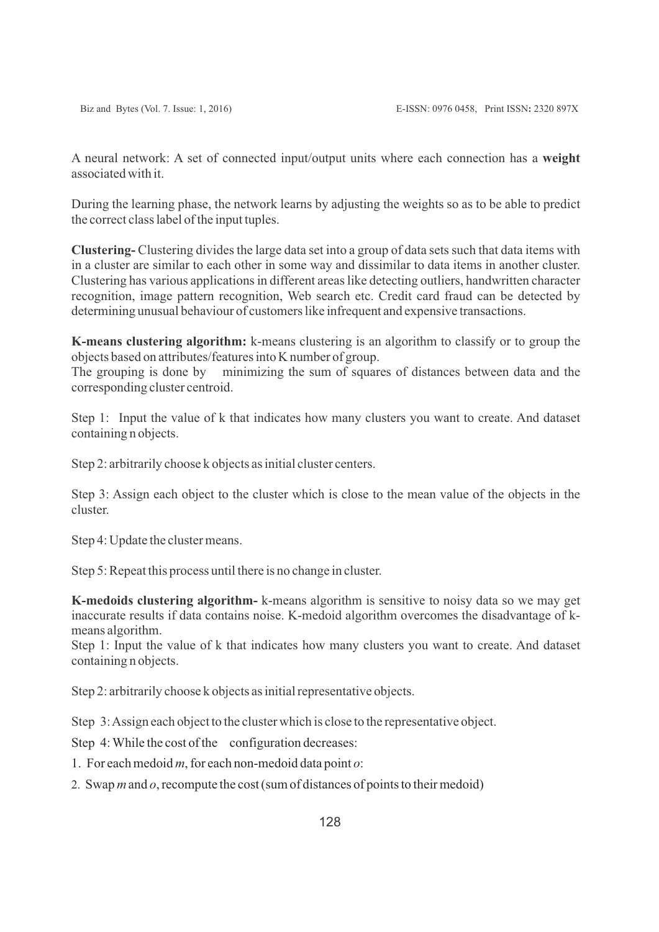A neural network: A set of connected input/output units where each connection has a **weight** associated with it.

During the learning phase, the network learns by adjusting the weights so as to be able to predict the correct class label of the input tuples.

**Clustering-** Clustering divides the large data set into a group of data sets such that data items with in a cluster are similar to each other in some way and dissimilar to data items in another cluster. Clustering has various applications in different areas like detecting outliers, handwritten character recognition, image pattern recognition, Web search etc. Credit card fraud can be detected by determining unusual behaviour of customers like infrequent and expensive transactions.

**K-means clustering algorithm:** k-means clustering is an algorithm to classify or to group the objects based on attributes/features into K number of group.

The grouping is done by minimizing the sum of squares of distances between data and the corresponding cluster centroid.

Step 1: Input the value of k that indicates how many clusters you want to create. And dataset containing n objects.

Step 2: arbitrarily choose k objects as initial cluster centers.

Step 3: Assign each object to the cluster which is close to the mean value of the objects in the cluster.

Step 4: Update the cluster means.

Step 5: Repeat this process until there is no change in cluster.

**K-medoids clustering algorithm-** k-means algorithm is sensitive to noisy data so we may get inaccurate results if data contains noise. K-medoid algorithm overcomes the disadvantage of kmeans algorithm.

Step 1: Input the value of k that indicates how many clusters you want to create. And dataset containing n objects.

Step 2: arbitrarily choose k objects as initial representative objects.

Step 3: Assign each object to the cluster which is close to the representative object.

Step 4: While the cost of the configuration decreases:

- 1. For each medoid *m*, for each non-medoid data point *o*:
- 2. Swap *m* and *o*, recompute the cost (sum of distances of points to their medoid)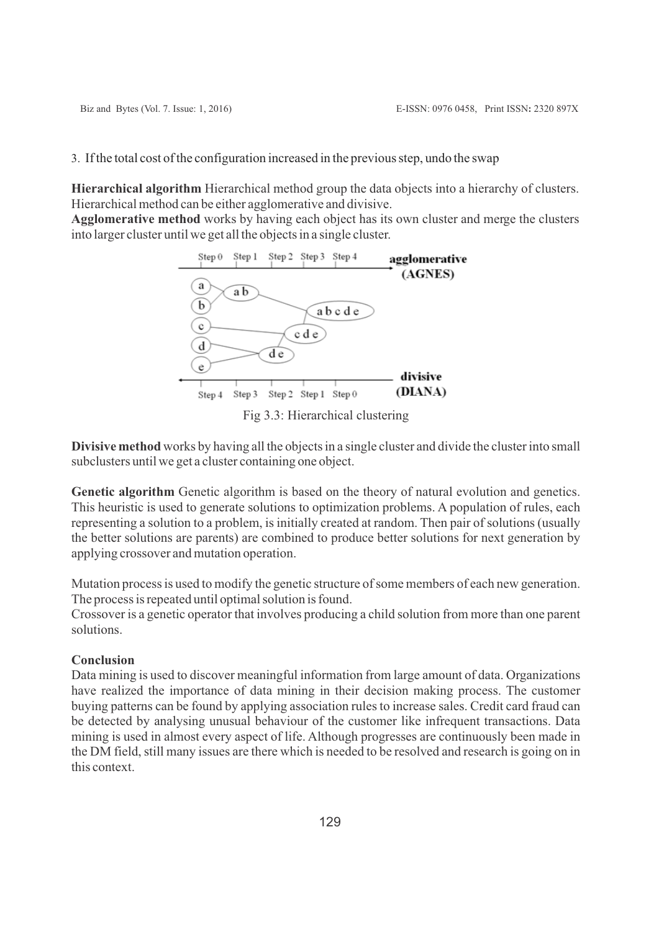3. If the total cost of the configuration increased in the previous step, undo the swap

**Hierarchical algorithm** Hierarchical method group the data objects into a hierarchy of clusters. Hierarchical method can be either agglomerative and divisive.

**Agglomerative method** works by having each object has its own cluster and merge the clusters into larger cluster until we get all the objects in a single cluster.



Fig 3.3: Hierarchical clustering

**Divisive method** works by having all the objects in a single cluster and divide the cluster into small subclusters until we get a cluster containing one object.

Genetic algorithm Genetic algorithm is based on the theory of natural evolution and genetics. This heuristic is used to generate solutions to optimization problems. A population of rules, each representing a solution to a problem, is initially created at random. Then pair of solutions (usually the better solutions are parents) are combined to produce better solutions for next generation by applying crossover and mutation operation.

Mutation process is used to modify the genetic structure of some members of each new generation. The process is repeated until optimal solution is found.

Crossover is a genetic operator that involves producing a child solution from more than one parent solutions.

# **Conclusion**

Data mining is used to discover meaningful information from large amount of data. Organizations have realized the importance of data mining in their decision making process. The customer buying patterns can be found by applying association rules to increase sales. Credit card fraud can be detected by analysing unusual behaviour of the customer like infrequent transactions. Data mining is used in almost every aspect of life. Although progresses are continuously been made in the DM field, still many issues are there which is needed to be resolved and research is going on in this context.